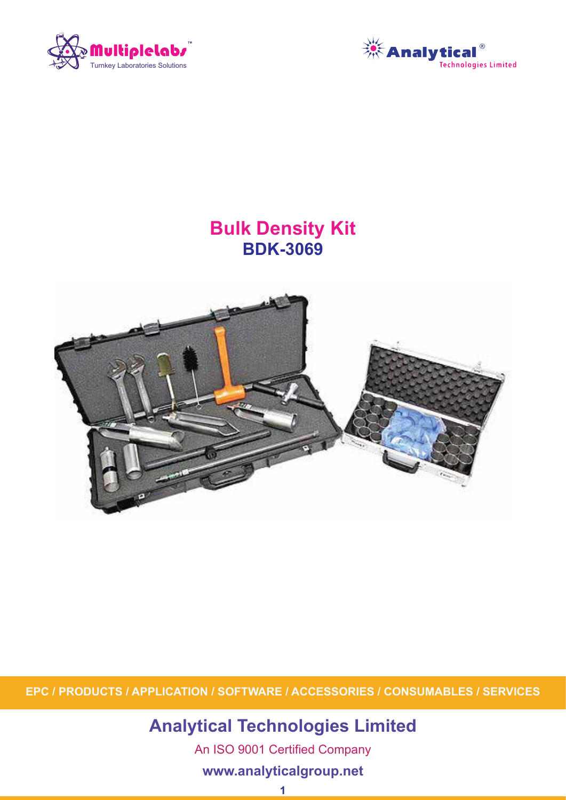



# **Bulk Density Kit BDK-3069**



**EPC / PRODUCTS / APPLICATION / SOFTWARE / ACCESSORIES / CONSUMABLES / SERVICES**

**Analytical Technologies Limited**

An ISO 9001 Certified Company

# **www.analyticalgroup.net**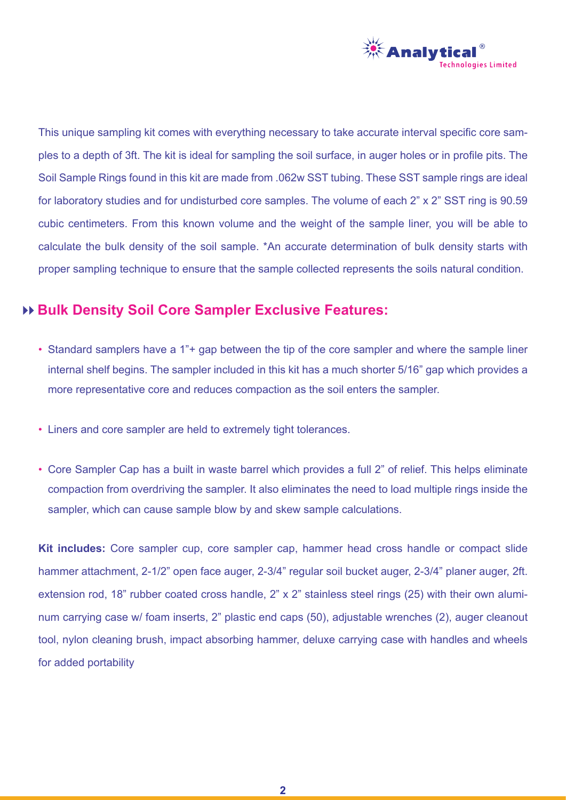

This unique sampling kit comes with everything necessary to take accurate interval specific core samples to a depth of 3ft. The kit is ideal for sampling the soil surface, in auger holes or in profile pits. The Soil Sample Rings found in this kit are made from .062w SST tubing. These SST sample rings are ideal for laboratory studies and for undisturbed core samples. The volume of each 2" x 2" SST ring is 90.59 cubic centimeters. From this known volume and the weight of the sample liner, you will be able to calculate the bulk density of the soil sample. \*An accurate determination of bulk density starts with proper sampling technique to ensure that the sample collected represents the soils natural condition.

# **Bulk Density Soil Core Sampler Exclusive Features:**

- Standard samplers have a 1"+ gap between the tip of the core sampler and where the sample liner internal shelf begins. The sampler included in this kit has a much shorter 5/16" gap which provides a more representative core and reduces compaction as the soil enters the sampler.
- Liners and core sampler are held to extremely tight tolerances.
- Core Sampler Cap has a built in waste barrel which provides a full 2" of relief. This helps eliminate compaction from overdriving the sampler. It also eliminates the need to load multiple rings inside the sampler, which can cause sample blow by and skew sample calculations.

**Kit includes:** Core sampler cup, core sampler cap, hammer head cross handle or compact slide hammer attachment, 2-1/2" open face auger, 2-3/4" regular soil bucket auger, 2-3/4" planer auger, 2ft. extension rod, 18" rubber coated cross handle, 2" x 2" stainless steel rings (25) with their own aluminum carrying case w/ foam inserts, 2" plastic end caps (50), adjustable wrenches (2), auger cleanout tool, nylon cleaning brush, impact absorbing hammer, deluxe carrying case with handles and wheels for added portability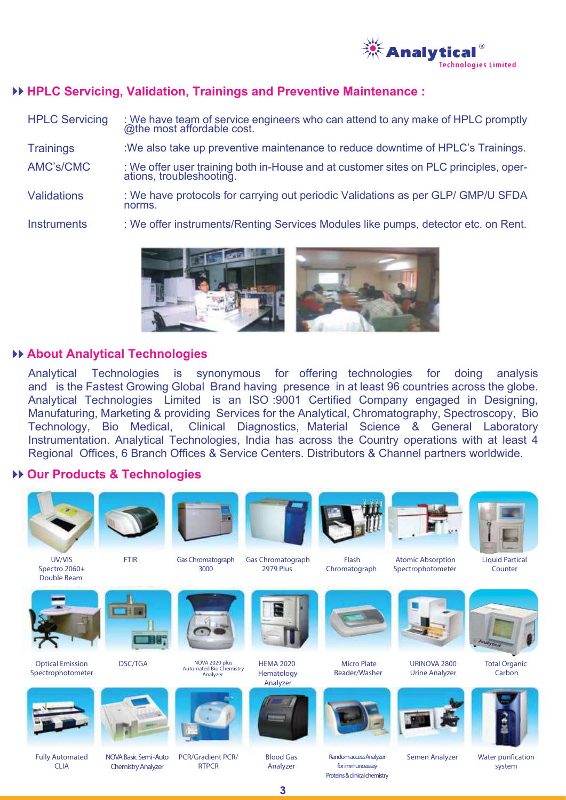

### **HPLC Servicing, Validation, Trainings and Preventive Maintenance :**

| <b>HPLC Servicing</b> | : We have team of service engineers who can attend to any make of HPLC promptly<br>@the most affordable cost. |
|-----------------------|---------------------------------------------------------------------------------------------------------------|
| <b>Trainings</b>      | : We also take up preventive maintenance to reduce downtime of HPLC's Trainings.                              |
| AMC's/CMC             | : We offer user training both in-House and at customer sites on PLC principles, operations, troubleshooting.  |
| <b>Validations</b>    | : We have protocols for carrying out periodic Validations as per GLP/ GMP/U SFDA<br>norms.                    |
| <b>Instruments</b>    | : We offer instruments/Renting Services Modules like pumps, detector etc. on Rent.                            |



#### **About Analytical Technologies**

and is the Fastest Growing Global Brand having presence in at least 96 countries across the globe.<br>And the Little shocks in the last of the second Contract Countries and the December of the Second Truck of the Analytical Technologies Emmed is an 1997, Seo Peenmed Company engaged in Besigning,<br>Manufaturing, Marketing & providing Services for the Analytical, Chromatography, Spectroscopy, Bio Technology, Bio Medical, Clinical Diagnostics, Material Science & General Laboratory Analytical Technologies is synonymous for offering technologies for doing analysis Analytical Technologies Limited is an ISO :9001 Certified Company engaged in Designing, Instrumentation. Analytical Technologies, India has across the Country operations with at least 4 Regional Offices, 6 Branch Offices & Service Centers. Distributors & Channel partners worldwide.

#### **Our Products & Technologies**



**3**

Proteins & dinical chemistry